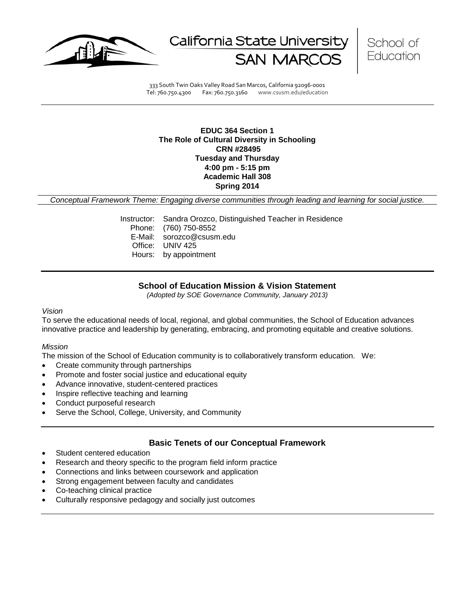

California State Universit



333 South Twin Oaks Valley Road San Marcos, California 92096-0001 Tel: 760.750.4300 Fax: 760.750.3160 www.csusm.edu/education

# **EDUC 364 Section 1 The Role of Cultural Diversity in Schooling CRN #28495 Tuesday and Thursday 4:00 pm - 5:15 pm Academic Hall 308 Spring 2014**

*Conceptual Framework Theme: Engaging diverse communities through leading and learning for social justice.*

Instructor: Sandra Orozco, Distinguished Teacher in Residence Phone: (760) 750-8552 E-Mail: sorozco@csusm.edu Office: UNIV 425 Hours: by appointment

# **School of Education Mission & Vision Statement**

*(Adopted by SOE Governance Community, January 2013)*

#### *Vision*

To serve the educational needs of local, regional, and global communities, the School of Education advances innovative practice and leadership by generating, embracing, and promoting equitable and creative solutions.

#### *Mission*

The mission of the School of Education community is to collaboratively transform education. We:

- Create community through partnerships
- Promote and foster social justice and educational equity
- Advance innovative, student-centered practices
- Inspire reflective teaching and learning
- Conduct purposeful research
- Serve the School, College, University, and Community

#### **Basic Tenets of our Conceptual Framework**

- Student centered education
- Research and theory specific to the program field inform practice
- Connections and links between coursework and application
- Strong engagement between faculty and candidates
- Co-teaching clinical practice
- Culturally responsive pedagogy and socially just outcomes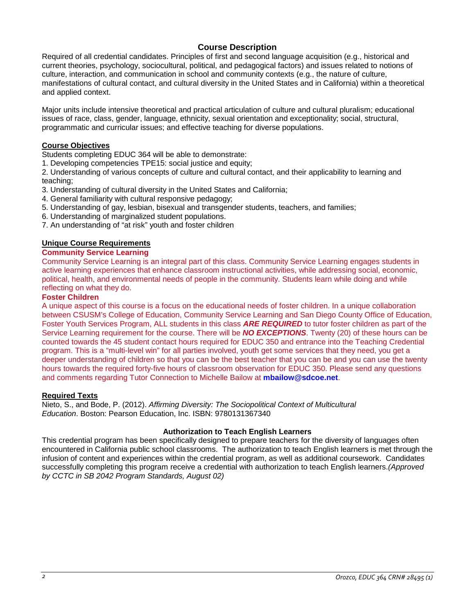# **Course Description**

Required of all credential candidates. Principles of first and second language acquisition (e.g., historical and current theories, psychology, sociocultural, political, and pedagogical factors) and issues related to notions of culture, interaction, and communication in school and community contexts (e.g., the nature of culture, manifestations of cultural contact, and cultural diversity in the United States and in California) within a theoretical and applied context.

Major units include intensive theoretical and practical articulation of culture and cultural pluralism; educational issues of race, class, gender, language, ethnicity, sexual orientation and exceptionality; social, structural, programmatic and curricular issues; and effective teaching for diverse populations.

# **Course Objectives**

Students completing EDUC 364 will be able to demonstrate:

1. Developing competencies TPE15: social justice and equity;

2. Understanding of various concepts of culture and cultural contact, and their applicability to learning and teaching;

- 3. Understanding of cultural diversity in the United States and California;
- 4. General familiarity with cultural responsive pedagogy;
- 5. Understanding of gay, lesbian, bisexual and transgender students, teachers, and families;
- 6. Understanding of marginalized student populations.
- 7. An understanding of "at risk" youth and foster children

# **Unique Course Requirements**

# **Community Service Learning**

Community Service Learning is an integral part of this class. Community Service Learning engages students in active learning experiences that enhance classroom instructional activities, while addressing social, economic, political, health, and environmental needs of people in the community. Students learn while doing and while reflecting on what they do.

#### **Foster Children**

A unique aspect of this course is a focus on the educational needs of foster children. In a unique collaboration between CSUSM's College of Education, Community Service Learning and San Diego County Office of Education, Foster Youth Services Program, ALL students in this class *ARE REQUIRED* to tutor foster children as part of the Service Learning requirement for the course. There will be *NO EXCEPTIONS*. Twenty (20) of these hours can be counted towards the 45 student contact hours required for EDUC 350 and entrance into the Teaching Credential program. This is a "multi-level win" for all parties involved, youth get some services that they need, you get a deeper understanding of children so that you can be the best teacher that you can be and you can use the twenty hours towards the required forty-five hours of classroom observation for EDUC 350. Please send any questions and comments regarding Tutor Connection to Michelle Bailow at **mbailow@sdcoe.net**.

#### **Required Texts**

Nieto, S., and Bode, P. (2012). *Affirming Diversity: The Sociopolitical Context of Multicultural Education*. Boston: Pearson Education, Inc. ISBN: 9780131367340

# **Authorization to Teach English Learners**

This credential program has been specifically designed to prepare teachers for the diversity of languages often encountered in California public school classrooms. The authorization to teach English learners is met through the infusion of content and experiences within the credential program, as well as additional coursework. Candidates successfully completing this program receive a credential with authorization to teach English learners.*(Approved by CCTC in SB 2042 Program Standards, August 02)*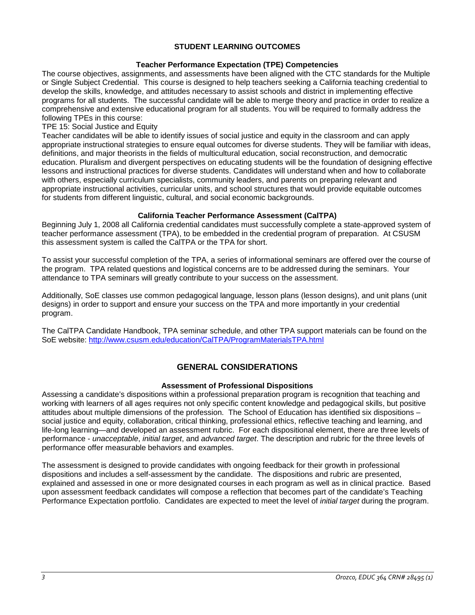# **STUDENT LEARNING OUTCOMES**

#### **Teacher Performance Expectation (TPE) Competencies**

The course objectives, assignments, and assessments have been aligned with the CTC standards for the Multiple or Single Subject Credential. This course is designed to help teachers seeking a California teaching credential to develop the skills, knowledge, and attitudes necessary to assist schools and district in implementing effective programs for all students. The successful candidate will be able to merge theory and practice in order to realize a comprehensive and extensive educational program for all students. You will be required to formally address the following TPEs in this course:

#### TPE 15: Social Justice and Equity

Teacher candidates will be able to identify issues of social justice and equity in the classroom and can apply appropriate instructional strategies to ensure equal outcomes for diverse students. They will be familiar with ideas, definitions, and major theorists in the fields of multicultural education, social reconstruction, and democratic education. Pluralism and divergent perspectives on educating students will be the foundation of designing effective lessons and instructional practices for diverse students. Candidates will understand when and how to collaborate with others, especially curriculum specialists, community leaders, and parents on preparing relevant and appropriate instructional activities, curricular units, and school structures that would provide equitable outcomes for students from different linguistic, cultural, and social economic backgrounds.

# **California Teacher Performance Assessment (CalTPA)**

Beginning July 1, 2008 all California credential candidates must successfully complete a state-approved system of teacher performance assessment (TPA), to be embedded in the credential program of preparation. At CSUSM this assessment system is called the CalTPA or the TPA for short.

To assist your successful completion of the TPA, a series of informational seminars are offered over the course of the program. TPA related questions and logistical concerns are to be addressed during the seminars. Your attendance to TPA seminars will greatly contribute to your success on the assessment.

Additionally, SoE classes use common pedagogical language, lesson plans (lesson designs), and unit plans (unit designs) in order to support and ensure your success on the TPA and more importantly in your credential program.

The CalTPA Candidate Handbook, TPA seminar schedule, and other TPA support materials can be found on the SoE website: <http://www.csusm.edu/education/CalTPA/ProgramMaterialsTPA.html>

# **GENERAL CONSIDERATIONS**

#### **Assessment of Professional Dispositions**

Assessing a candidate's dispositions within a professional preparation program is recognition that teaching and working with learners of all ages requires not only specific content knowledge and pedagogical skills, but positive attitudes about multiple dimensions of the profession. The School of Education has identified six dispositions – social justice and equity, collaboration, critical thinking, professional ethics, reflective teaching and learning, and life-long learning—and developed an assessment rubric. For each dispositional element, there are three levels of performance - *unacceptable*, *initial target*, and *advanced target*. The description and rubric for the three levels of performance offer measurable behaviors and examples.

The assessment is designed to provide candidates with ongoing feedback for their growth in professional dispositions and includes a self-assessment by the candidate. The dispositions and rubric are presented, explained and assessed in one or more designated courses in each program as well as in clinical practice. Based upon assessment feedback candidates will compose a reflection that becomes part of the candidate's Teaching Performance Expectation portfolio. Candidates are expected to meet the level of *initial target* during the program.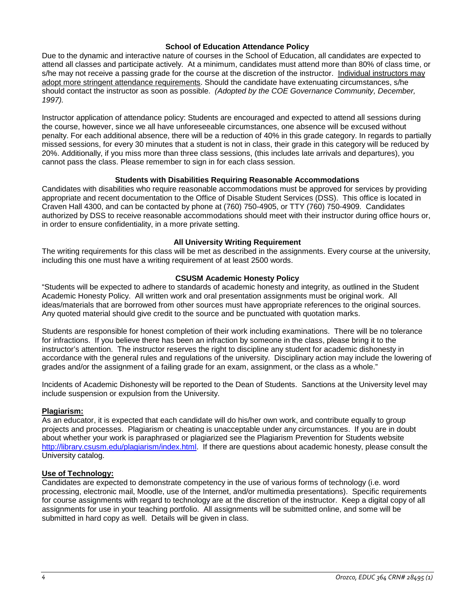# **School of Education Attendance Policy**

Due to the dynamic and interactive nature of courses in the School of Education, all candidates are expected to attend all classes and participate actively. At a minimum, candidates must attend more than 80% of class time, or s/he may not receive a passing grade for the course at the discretion of the instructor. Individual instructors may adopt more stringent attendance requirements. Should the candidate have extenuating circumstances, s/he should contact the instructor as soon as possible. *(Adopted by the COE Governance Community, December, 1997).*

Instructor application of attendance policy: Students are encouraged and expected to attend all sessions during the course, however, since we all have unforeseeable circumstances, one absence will be excused without penalty. For each additional absence, there will be a reduction of 40% in this grade category. In regards to partially missed sessions, for every 30 minutes that a student is not in class, their grade in this category will be reduced by 20%. Additionally, if you miss more than three class sessions, (this includes late arrivals and departures), you cannot pass the class. Please remember to sign in for each class session.

#### **Students with Disabilities Requiring Reasonable Accommodations**

Candidates with disabilities who require reasonable accommodations must be approved for services by providing appropriate and recent documentation to the Office of Disable Student Services (DSS). This office is located in Craven Hall 4300, and can be contacted by phone at (760) 750-4905, or TTY (760) 750-4909. Candidates authorized by DSS to receive reasonable accommodations should meet with their instructor during office hours or, in order to ensure confidentiality, in a more private setting.

#### **All University Writing Requirement**

The writing requirements for this class will be met as described in the assignments. Every course at the university, including this one must have a writing requirement of at least 2500 words.

# **CSUSM Academic Honesty Policy**

"Students will be expected to adhere to standards of academic honesty and integrity, as outlined in the Student Academic Honesty Policy. All written work and oral presentation assignments must be original work. All ideas/materials that are borrowed from other sources must have appropriate references to the original sources. Any quoted material should give credit to the source and be punctuated with quotation marks.

Students are responsible for honest completion of their work including examinations. There will be no tolerance for infractions. If you believe there has been an infraction by someone in the class, please bring it to the instructor's attention. The instructor reserves the right to discipline any student for academic dishonesty in accordance with the general rules and regulations of the university. Disciplinary action may include the lowering of grades and/or the assignment of a failing grade for an exam, assignment, or the class as a whole."

Incidents of Academic Dishonesty will be reported to the Dean of Students. Sanctions at the University level may include suspension or expulsion from the University.

#### **Plagiarism:**

As an educator, it is expected that each candidate will do his/her own work, and contribute equally to group projects and processes. Plagiarism or cheating is unacceptable under any circumstances. If you are in doubt about whether your work is paraphrased or plagiarized see the Plagiarism Prevention for Students website [http://library.csusm.edu/plagiarism/index.html.](http://library.csusm.edu/plagiarism/index.html) If there are questions about academic honesty, please consult the University catalog.

# **Use of Technology:**

Candidates are expected to demonstrate competency in the use of various forms of technology (i.e. word processing, electronic mail, Moodle, use of the Internet, and/or multimedia presentations). Specific requirements for course assignments with regard to technology are at the discretion of the instructor. Keep a digital copy of all assignments for use in your teaching portfolio. All assignments will be submitted online, and some will be submitted in hard copy as well. Details will be given in class.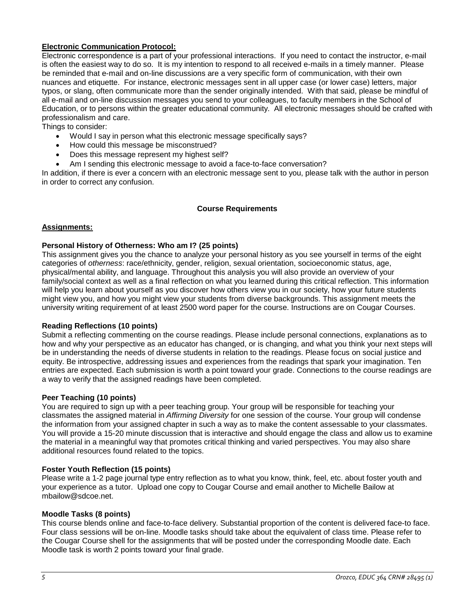# **Electronic Communication Protocol:**

Electronic correspondence is a part of your professional interactions. If you need to contact the instructor, e-mail is often the easiest way to do so. It is my intention to respond to all received e-mails in a timely manner. Please be reminded that e-mail and on-line discussions are a very specific form of communication, with their own nuances and etiquette. For instance, electronic messages sent in all upper case (or lower case) letters, major typos, or slang, often communicate more than the sender originally intended. With that said, please be mindful of all e-mail and on-line discussion messages you send to your colleagues, to faculty members in the School of Education, or to persons within the greater educational community. All electronic messages should be crafted with professionalism and care.

Things to consider:

- Would I say in person what this electronic message specifically says?
- How could this message be misconstrued?
- Does this message represent my highest self?
- Am I sending this electronic message to avoid a face-to-face conversation?

In addition, if there is ever a concern with an electronic message sent to you, please talk with the author in person in order to correct any confusion.

# **Course Requirements**

# **Assignments:**

# **Personal History of Otherness: Who am I? (25 points)**

This assignment gives you the chance to analyze your personal history as you see yourself in terms of the eight categories of *otherness*: race/ethnicity, gender, religion, sexual orientation, socioeconomic status, age, physical/mental ability, and language. Throughout this analysis you will also provide an overview of your family/social context as well as a final reflection on what you learned during this critical reflection. This information will help you learn about yourself as you discover how others view you in our society, how your future students might view you, and how you might view your students from diverse backgrounds. This assignment meets the university writing requirement of at least 2500 word paper for the course. Instructions are on Cougar Courses.

#### **Reading Reflections (10 points)**

Submit a reflecting commenting on the course readings. Please include personal connections, explanations as to how and why your perspective as an educator has changed, or is changing, and what you think your next steps will be in understanding the needs of diverse students in relation to the readings. Please focus on social justice and equity. Be introspective, addressing issues and experiences from the readings that spark your imagination. Ten entries are expected. Each submission is worth a point toward your grade. Connections to the course readings are a way to verify that the assigned readings have been completed.

#### **Peer Teaching (10 points)**

You are required to sign up with a peer teaching group. Your group will be responsible for teaching your classmates the assigned material in *Affirming Diversity* for one session of the course. Your group will condense the information from your assigned chapter in such a way as to make the content assessable to your classmates. You will provide a 15-20 minute discussion that is interactive and should engage the class and allow us to examine the material in a meaningful way that promotes critical thinking and varied perspectives. You may also share additional resources found related to the topics.

#### **Foster Youth Reflection (15 points)**

Please write a 1-2 page journal type entry reflection as to what you know, think, feel, etc. about foster youth and your experience as a tutor. Upload one copy to Cougar Course and email another to Michelle Bailow at mbailow@sdcoe.net.

#### **Moodle Tasks (8 points)**

This course blends online and face-to-face delivery. Substantial proportion of the content is delivered face-to face. Four class sessions will be on-line. Moodle tasks should take about the equivalent of class time. Please refer to the Cougar Course shell for the assignments that will be posted under the corresponding Moodle date. Each Moodle task is worth 2 points toward your final grade.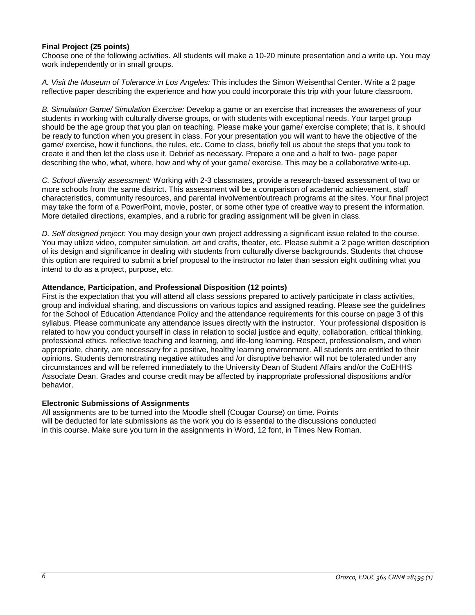# **Final Project (25 points)**

Choose one of the following activities. All students will make a 10-20 minute presentation and a write up. You may work independently or in small groups.

*A. Visit the Museum of Tolerance in Los Angeles:* This includes the Simon Weisenthal Center. Write a 2 page reflective paper describing the experience and how you could incorporate this trip with your future classroom.

*B. Simulation Game/ Simulation Exercise:* Develop a game or an exercise that increases the awareness of your students in working with culturally diverse groups, or with students with exceptional needs. Your target group should be the age group that you plan on teaching. Please make your game/ exercise complete; that is, it should be ready to function when you present in class. For your presentation you will want to have the objective of the game/ exercise, how it functions, the rules, etc. Come to class, briefly tell us about the steps that you took to create it and then let the class use it. Debrief as necessary. Prepare a one and a half to two- page paper describing the who, what, where, how and why of your game/ exercise. This may be a collaborative write-up.

*C. School diversity assessment:* Working with 2-3 classmates, provide a research-based assessment of two or more schools from the same district. This assessment will be a comparison of academic achievement, staff characteristics, community resources, and parental involvement/outreach programs at the sites. Your final project may take the form of a PowerPoint, movie, poster, or some other type of creative way to present the information. More detailed directions, examples, and a rubric for grading assignment will be given in class.

*D. Self designed project:* You may design your own project addressing a significant issue related to the course. You may utilize video, computer simulation, art and crafts, theater, etc. Please submit a 2 page written description of its design and significance in dealing with students from culturally diverse backgrounds. Students that choose this option are required to submit a brief proposal to the instructor no later than session eight outlining what you intend to do as a project, purpose, etc.

# **Attendance, Participation, and Professional Disposition (12 points)**

First is the expectation that you will attend all class sessions prepared to actively participate in class activities, group and individual sharing, and discussions on various topics and assigned reading. Please see the guidelines for the School of Education Attendance Policy and the attendance requirements for this course on page 3 of this syllabus. Please communicate any attendance issues directly with the instructor. Your professional disposition is related to how you conduct yourself in class in relation to social justice and equity, collaboration, critical thinking, professional ethics, reflective teaching and learning, and life-long learning. Respect, professionalism, and when appropriate, charity, are necessary for a positive, healthy learning environment. All students are entitled to their opinions. Students demonstrating negative attitudes and /or disruptive behavior will not be tolerated under any circumstances and will be referred immediately to the University Dean of Student Affairs and/or the CoEHHS Associate Dean. Grades and course credit may be affected by inappropriate professional dispositions and/or behavior.

#### **Electronic Submissions of Assignments**

All assignments are to be turned into the Moodle shell (Cougar Course) on time. Points will be deducted for late submissions as the work you do is essential to the discussions conducted in this course. Make sure you turn in the assignments in Word, 12 font, in Times New Roman.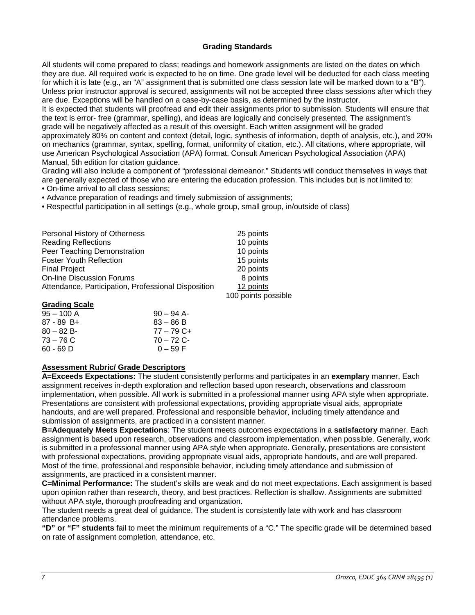# **Grading Standards**

All students will come prepared to class; readings and homework assignments are listed on the dates on which they are due. All required work is expected to be on time. One grade level will be deducted for each class meeting for which it is late (e.g., an "A" assignment that is submitted one class session late will be marked down to a "B"). Unless prior instructor approval is secured, assignments will not be accepted three class sessions after which they are due. Exceptions will be handled on a case-by-case basis, as determined by the instructor.

It is expected that students will proofread and edit their assignments prior to submission. Students will ensure that the text is error- free (grammar, spelling), and ideas are logically and concisely presented. The assignment's grade will be negatively affected as a result of this oversight. Each written assignment will be graded approximately 80% on content and context (detail, logic, synthesis of information, depth of analysis, etc.), and 20% on mechanics (grammar, syntax, spelling, format, uniformity of citation, etc.). All citations, where appropriate, will use American Psychological Association (APA) format. Consult American Psychological Association (APA) Manual, 5th edition for citation guidance.

Grading will also include a component of "professional demeanor." Students will conduct themselves in ways that are generally expected of those who are entering the education profession. This includes but is not limited to: • On-time arrival to all class sessions;

• Advance preparation of readings and timely submission of assignments;

• Respectful participation in all settings (e.g., whole group, small group, in/outside of class)

| Personal History of Otherness                       | 25 points           |
|-----------------------------------------------------|---------------------|
| <b>Reading Reflections</b>                          | 10 points           |
| Peer Teaching Demonstration                         | 10 points           |
| <b>Foster Youth Reflection</b>                      | 15 points           |
| <b>Final Project</b>                                | 20 points           |
| <b>On-line Discussion Forums</b>                    | 8 points            |
| Attendance, Participation, Professional Disposition | 12 points           |
|                                                     | 100 points possible |

#### **Grading Scale**

| $90 - 94$ A- |
|--------------|
| $83 - 86 B$  |
| $77 - 79$ C+ |
| $70 - 72$ C- |
| $0 - 59 F$   |
|              |

# **Assessment Rubric/ Grade Descriptors**

**A=Exceeds Expectations:** The student consistently performs and participates in an **exemplary** manner. Each assignment receives in-depth exploration and reflection based upon research, observations and classroom implementation, when possible. All work is submitted in a professional manner using APA style when appropriate. Presentations are consistent with professional expectations, providing appropriate visual aids, appropriate handouts, and are well prepared. Professional and responsible behavior, including timely attendance and submission of assignments, are practiced in a consistent manner.

**B=Adequately Meets Expectations**: The student meets outcomes expectations in a **satisfactory** manner. Each assignment is based upon research, observations and classroom implementation, when possible. Generally, work is submitted in a professional manner using APA style when appropriate. Generally, presentations are consistent with professional expectations, providing appropriate visual aids, appropriate handouts, and are well prepared. Most of the time, professional and responsible behavior, including timely attendance and submission of assignments, are practiced in a consistent manner.

**C=Minimal Performance:** The student's skills are weak and do not meet expectations. Each assignment is based upon opinion rather than research, theory, and best practices. Reflection is shallow. Assignments are submitted without APA style, thorough proofreading and organization.

The student needs a great deal of guidance. The student is consistently late with work and has classroom attendance problems.

**"D" or "F" students** fail to meet the minimum requirements of a "C." The specific grade will be determined based on rate of assignment completion, attendance, etc.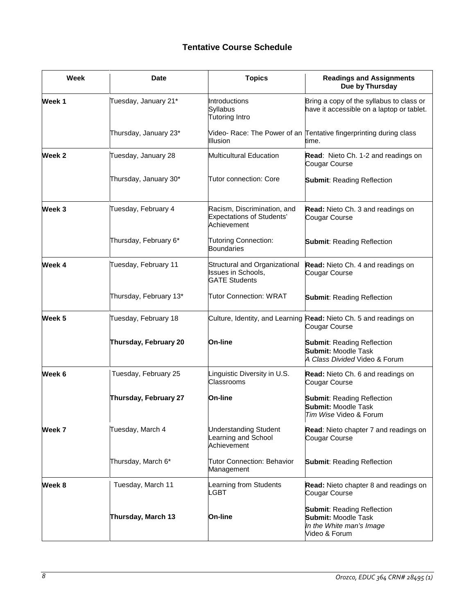# **Tentative Course Schedule**

| Week   | <b>Date</b>            | <b>Topics</b>                                                                  | <b>Readings and Assignments</b><br>Due by Thursday                                                           |
|--------|------------------------|--------------------------------------------------------------------------------|--------------------------------------------------------------------------------------------------------------|
| Week 1 | Tuesday, January 21*   | Introductions<br>Syllabus<br>Tutoring Intro                                    | Bring a copy of the syllabus to class or<br>have it accessible on a laptop or tablet.                        |
|        | Thursday, January 23*  | <b>Illusion</b>                                                                | Video- Race: The Power of an Tentative fingerprinting during class<br>time.                                  |
| Week 2 | Tuesday, January 28    | Multicultural Education                                                        | Read: Nieto Ch. 1-2 and readings on<br>Cougar Course                                                         |
|        | Thursday, January 30*  | <b>Tutor connection: Core</b>                                                  | <b>Submit: Reading Reflection</b>                                                                            |
| Week 3 | Tuesday, February 4    | Racism, Discrimination, and<br><b>Expectations of Students'</b><br>Achievement | Read: Nieto Ch. 3 and readings on<br>Cougar Course                                                           |
|        | Thursday, February 6*  | <b>Tutoring Connection:</b><br><b>Boundaries</b>                               | <b>Submit: Reading Reflection</b>                                                                            |
| Week 4 | Tuesday, February 11   | Structural and Organizational<br>Issues in Schools,<br><b>GATE Students</b>    | Read: Nieto Ch. 4 and readings on<br>Cougar Course                                                           |
|        | Thursday, February 13* | <b>Tutor Connection: WRAT</b>                                                  | <b>Submit: Reading Reflection</b>                                                                            |
| Week 5 | Tuesday, February 18   |                                                                                | Culture, Identity, and Learning Read: Nieto Ch. 5 and readings on<br>Cougar Course                           |
|        | Thursday, February 20  | <b>On-line</b>                                                                 | <b>Submit: Reading Reflection</b><br><b>Submit: Moodle Task</b><br>A Class Divided Video & Forum             |
| Week 6 | Tuesday, February 25   | Linguistic Diversity in U.S.<br>Classrooms                                     | Read: Nieto Ch. 6 and readings on<br>Cougar Course                                                           |
|        | Thursday, February 27  | On-line                                                                        | <b>Submit: Reading Reflection</b><br><b>Submit: Moodle Task</b><br>Tim Wise Video & Forum                    |
| Week 7 | Tuesday, March 4       | <b>Understanding Student</b><br>Learning and School<br>Achievement             | Read: Nieto chapter 7 and readings on<br>Cougar Course                                                       |
|        | Thursday, March 6*     | <b>Tutor Connection: Behavior</b><br>Management                                | <b>Submit: Reading Reflection</b>                                                                            |
| Week 8 | Tuesday, March 11      | Learning from Students<br>LGBT                                                 | <b>Read:</b> Nieto chapter 8 and readings on<br>Cougar Course                                                |
|        | Thursday, March 13     | On-line                                                                        | <b>Submit: Reading Reflection</b><br><b>Submit: Moodle Task</b><br>In the White man's Image<br>Video & Forum |